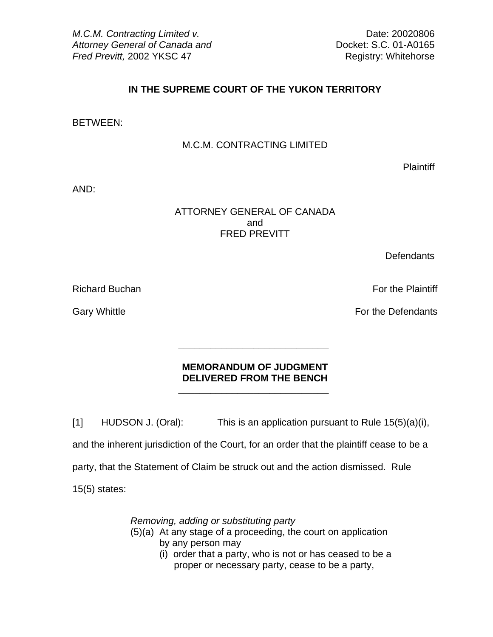*M.C.M. Contracting Limited v.*  $\blacksquare$ Attorney General of Canada and **Docket: S.C. 01-A0165** *Fred Previtt, 2002 YKSC 47* And *Pred Previtt, 2002 YKSC 47* And *Registry: Whitehorse* 

# **IN THE SUPREME COURT OF THE YUKON TERRITORY**

#### BETWEEN:

### M.C.M. CONTRACTING LIMITED

**Plaintiff** 

AND:

## ATTORNEY GENERAL OF CANADA and the contract of the contract of the contract of the contract of the contract of the contract of the contract of the contract of the contract of the contract of the contract of the contract of the contract of the contra FRED PREVITT

**Defendants** 

Richard Buchan For the Plaintiff Superintendent Superintendent Superintendent Superintendent Superintendent Superintendent Superintendent Superintendent Superintendent Superintendent Superintendent Superintendent Superinte

Gary Whittle Gary Whittle **For the Defendants** 

## **MEMORANDUM OF JUDGMENT DELIVERED FROM THE BENCH \_\_\_\_\_\_\_\_\_\_\_\_\_\_\_\_\_\_\_\_\_\_\_\_\_\_\_\_**

**\_\_\_\_\_\_\_\_\_\_\_\_\_\_\_\_\_\_\_\_\_\_\_\_\_\_\_\_** 

[1] HUDSON J. (Oral): This is an application pursuant to Rule 15(5)(a)(i), and the inherent jurisdiction of the Court, for an order that the plaintiff cease to be a party, that the Statement of Claim be struck out and the action dismissed. Rule 15(5) states:

 *Removing, adding or substituting party*

- (5)(a) At any stage of a proceeding, the court on application by any person may
	- (i) order that a party, who is not or has ceased to be a proper or necessary party, cease to be a party,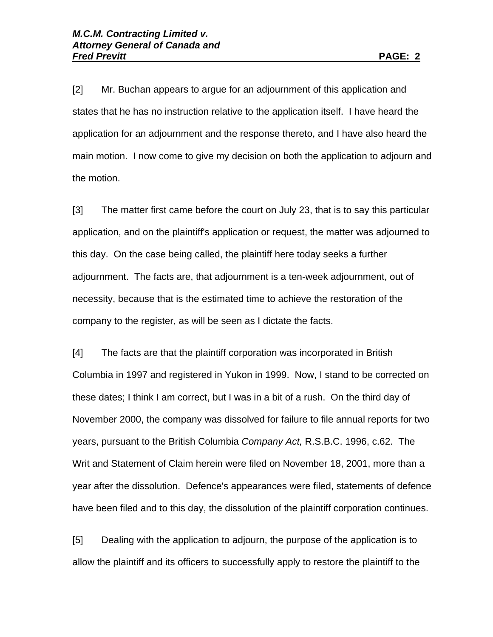[2] Mr. Buchan appears to argue for an adjournment of this application and states that he has no instruction relative to the application itself. I have heard the application for an adjournment and the response thereto, and I have also heard the main motion. I now come to give my decision on both the application to adjourn and the motion.

[3] The matter first came before the court on July 23, that is to say this particular application, and on the plaintiff's application or request, the matter was adjourned to this day. On the case being called, the plaintiff here today seeks a further adjournment. The facts are, that adjournment is a ten-week adjournment, out of necessity, because that is the estimated time to achieve the restoration of the company to the register, as will be seen as I dictate the facts.

[4] The facts are that the plaintiff corporation was incorporated in British Columbia in 1997 and registered in Yukon in 1999. Now, I stand to be corrected on these dates; I think I am correct, but I was in a bit of a rush. On the third day of November 2000, the company was dissolved for failure to file annual reports for two years, pursuant to the British Columbia *Company Act,* R.S.B.C. 1996, c.62. The Writ and Statement of Claim herein were filed on November 18, 2001, more than a year after the dissolution. Defence's appearances were filed, statements of defence have been filed and to this day, the dissolution of the plaintiff corporation continues.

[5] Dealing with the application to adjourn, the purpose of the application is to allow the plaintiff and its officers to successfully apply to restore the plaintiff to the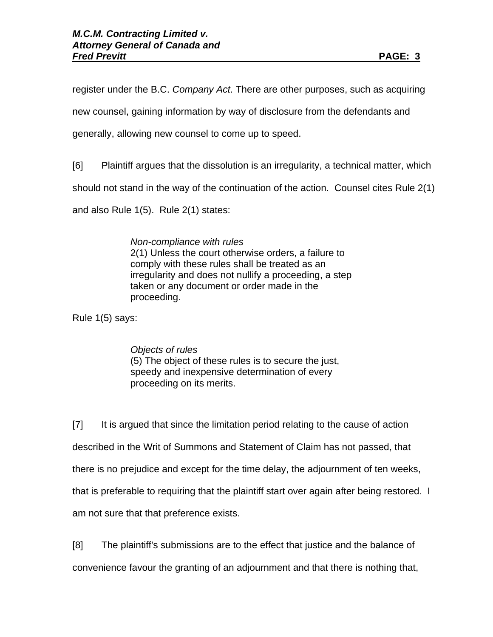register under the B.C. *Company Act*. There are other purposes, such as acquiring

new counsel, gaining information by way of disclosure from the defendants and

generally, allowing new counsel to come up to speed.

[6] Plaintiff argues that the dissolution is an irregularity, a technical matter, which

should not stand in the way of the continuation of the action. Counsel cites Rule 2(1)

and also Rule 1(5). Rule 2(1) states:

 *Non-compliance with rules* 2(1) Unless the court otherwise orders, a failure to comply with these rules shall be treated as an irregularity and does not nullify a proceeding, a step taken or any document or order made in the proceeding.

Rule 1(5) says:

 *Objects of rules* (5) The object of these rules is to secure the just, speedy and inexpensive determination of every proceeding on its merits.

[7] It is argued that since the limitation period relating to the cause of action described in the Writ of Summons and Statement of Claim has not passed, that there is no prejudice and except for the time delay, the adjournment of ten weeks, that is preferable to requiring that the plaintiff start over again after being restored. I am not sure that that preference exists.

[8] The plaintiff's submissions are to the effect that justice and the balance of convenience favour the granting of an adjournment and that there is nothing that,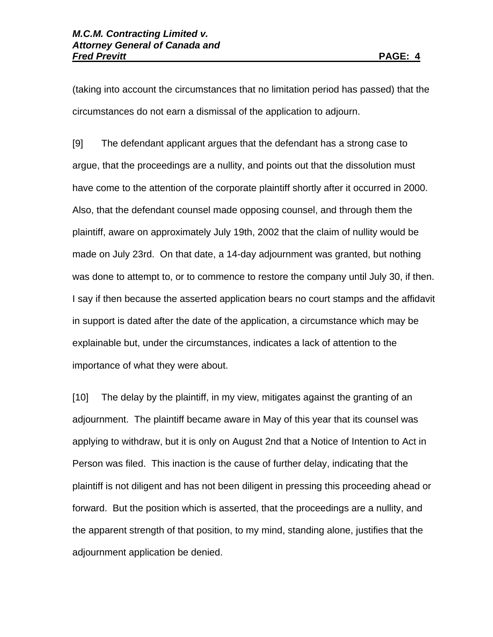(taking into account the circumstances that no limitation period has passed) that the circumstances do not earn a dismissal of the application to adjourn.

[9] The defendant applicant argues that the defendant has a strong case to argue, that the proceedings are a nullity, and points out that the dissolution must have come to the attention of the corporate plaintiff shortly after it occurred in 2000. Also, that the defendant counsel made opposing counsel, and through them the plaintiff, aware on approximately July 19th, 2002 that the claim of nullity would be made on July 23rd. On that date, a 14-day adjournment was granted, but nothing was done to attempt to, or to commence to restore the company until July 30, if then. I say if then because the asserted application bears no court stamps and the affidavit in support is dated after the date of the application, a circumstance which may be explainable but, under the circumstances, indicates a lack of attention to the importance of what they were about.

[10] The delay by the plaintiff, in my view, mitigates against the granting of an adjournment. The plaintiff became aware in May of this year that its counsel was applying to withdraw, but it is only on August 2nd that a Notice of Intention to Act in Person was filed. This inaction is the cause of further delay, indicating that the plaintiff is not diligent and has not been diligent in pressing this proceeding ahead or forward. But the position which is asserted, that the proceedings are a nullity, and the apparent strength of that position, to my mind, standing alone, justifies that the adjournment application be denied.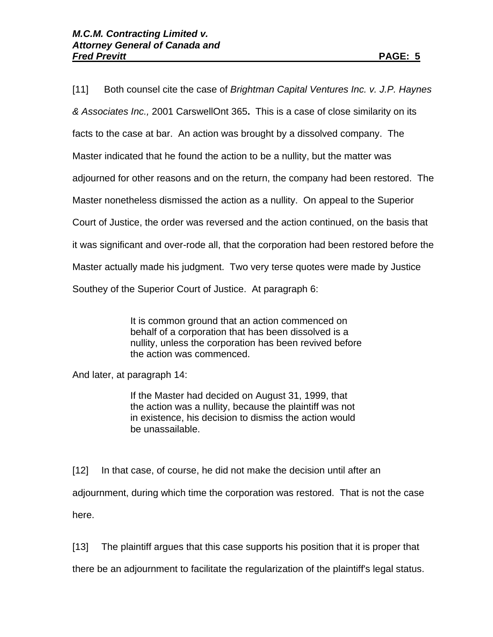[11] Both counsel cite the case of *Brightman Capital Ventures Inc. v. J.P. Haynes & Associates Inc.,* 2001 CarswellOnt 365**.** This is a case of close similarity on its facts to the case at bar. An action was brought by a dissolved company. The Master indicated that he found the action to be a nullity, but the matter was adjourned for other reasons and on the return, the company had been restored. The Master nonetheless dismissed the action as a nullity. On appeal to the Superior Court of Justice, the order was reversed and the action continued, on the basis that it was significant and over-rode all, that the corporation had been restored before the Master actually made his judgment. Two very terse quotes were made by Justice Southey of the Superior Court of Justice. At paragraph 6:

> It is common ground that an action commenced on behalf of a corporation that has been dissolved is a nullity, unless the corporation has been revived before the action was commenced.

And later, at paragraph 14:

If the Master had decided on August 31, 1999, that the action was a nullity, because the plaintiff was not in existence, his decision to dismiss the action would be unassailable.

[12] In that case, of course, he did not make the decision until after an adjournment, during which time the corporation was restored. That is not the case here.

[13] The plaintiff argues that this case supports his position that it is proper that

there be an adjournment to facilitate the regularization of the plaintiff's legal status.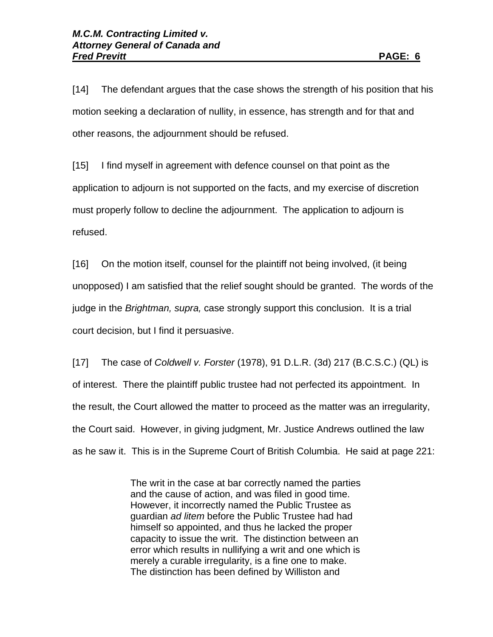[14] The defendant argues that the case shows the strength of his position that his motion seeking a declaration of nullity, in essence, has strength and for that and other reasons, the adjournment should be refused.

[15] I find myself in agreement with defence counsel on that point as the application to adjourn is not supported on the facts, and my exercise of discretion must properly follow to decline the adjournment. The application to adjourn is refused.

[16] On the motion itself, counsel for the plaintiff not being involved, (it being unopposed) I am satisfied that the relief sought should be granted. The words of the judge in the *Brightman, supra,* case strongly support this conclusion. It is a trial court decision, but I find it persuasive.

[17] The case of *Coldwell v. Forster* (1978), 91 D.L.R. (3d) 217 (B.C.S.C.) (QL) is of interest. There the plaintiff public trustee had not perfected its appointment. In the result, the Court allowed the matter to proceed as the matter was an irregularity, the Court said. However, in giving judgment, Mr. Justice Andrews outlined the law as he saw it. This is in the Supreme Court of British Columbia. He said at page 221:

> The writ in the case at bar correctly named the parties and the cause of action, and was filed in good time. However, it incorrectly named the Public Trustee as guardian *ad litem* before the Public Trustee had had himself so appointed, and thus he lacked the proper capacity to issue the writ. The distinction between an error which results in nullifying a writ and one which is merely a curable irregularity, is a fine one to make. The distinction has been defined by Williston and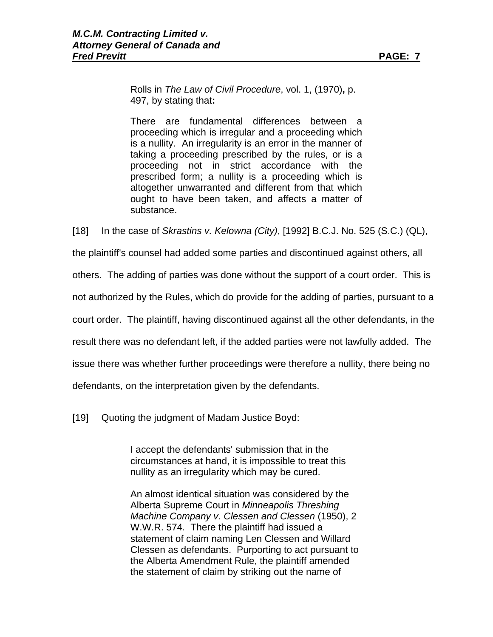Rolls in *The Law of Civil Procedure*, vol. 1, (1970)**,** p. 497, by stating that**:** 

 There are fundamental differences between a proceeding which is irregular and a proceeding which is a nullity. An irregularity is an error in the manner of taking a proceeding prescribed by the rules, or is a proceeding not in strict accordance with the prescribed form; a nullity is a proceeding which is altogether unwarranted and different from that which ought to have been taken, and affects a matter of substance.

[18] In the case of *Skrastins v. Kelowna (City)*, [1992] B.C.J. No. 525 (S.C.) (QL),

the plaintiff's counsel had added some parties and discontinued against others, all

others. The adding of parties was done without the support of a court order. This is

not authorized by the Rules, which do provide for the adding of parties, pursuant to a

court order. The plaintiff, having discontinued against all the other defendants, in the

result there was no defendant left, if the added parties were not lawfully added. The

issue there was whether further proceedings were therefore a nullity, there being no

defendants, on the interpretation given by the defendants.

[19] Quoting the judgment of Madam Justice Boyd:

I accept the defendants' submission that in the circumstances at hand, it is impossible to treat this nullity as an irregularity which may be cured.

An almost identical situation was considered by the Alberta Supreme Court in *Minneapolis Threshing Machine Company v. Clessen and Clessen* (1950), 2 W.W.R. 574*.* There the plaintiff had issued a statement of claim naming Len Clessen and Willard Clessen as defendants. Purporting to act pursuant to the Alberta Amendment Rule, the plaintiff amended the statement of claim by striking out the name of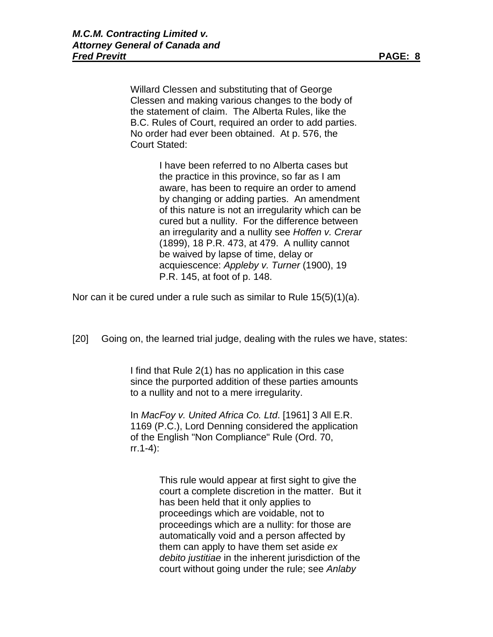Willard Clessen and substituting that of George Clessen and making various changes to the body of the statement of claim. The Alberta Rules, like the B.C. Rules of Court, required an order to add parties. No order had ever been obtained. At p. 576, the Court Stated:

> I have been referred to no Alberta cases but the practice in this province, so far as I am aware, has been to require an order to amend by changing or adding parties. An amendment of this nature is not an irregularity which can be cured but a nullity. For the difference between an irregularity and a nullity see *Hoffen v. Crerar* (1899), 18 P.R. 473, at 479. A nullity cannot be waived by lapse of time, delay or acquiescence: *Appleby v. Turner* (1900), 19 P.R. 145, at foot of p. 148.

Nor can it be cured under a rule such as similar to Rule 15(5)(1)(a).

[20] Going on, the learned trial judge, dealing with the rules we have, states:

I find that Rule 2(1) has no application in this case since the purported addition of these parties amounts to a nullity and not to a mere irregularity.

In *MacFoy v. United Africa Co. Ltd*. [1961] 3 All E.R. 1169 (P.C.), Lord Denning considered the application of the English "Non Compliance" Rule (Ord. 70, rr.1-4):

> This rule would appear at first sight to give the court a complete discretion in the matter. But it has been held that it only applies to proceedings which are voidable, not to proceedings which are a nullity: for those are automatically void and a person affected by them can apply to have them set aside *ex debito justitiae* in the inherent jurisdiction of the court without going under the rule; see *Anlaby*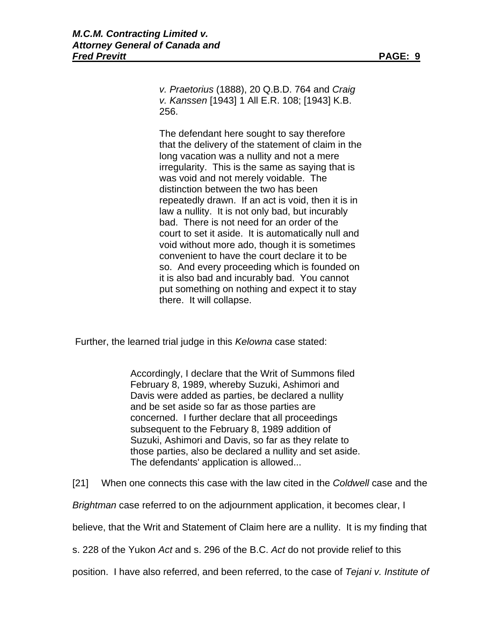*v. Praetorius* (1888), 20 Q.B.D. 764 and *Craig v. Kanssen* [1943] 1 All E.R. 108; [1943] K.B. 256.

The defendant here sought to say therefore that the delivery of the statement of claim in the long vacation was a nullity and not a mere irregularity. This is the same as saying that is was void and not merely voidable. The distinction between the two has been repeatedly drawn. If an act is void, then it is in law a nullity. It is not only bad, but incurably bad. There is not need for an order of the court to set it aside. It is automatically null and void without more ado, though it is sometimes convenient to have the court declare it to be so. And every proceeding which is founded on it is also bad and incurably bad. You cannot put something on nothing and expect it to stay there. It will collapse.

Further, the learned trial judge in this *Kelowna* case stated:

Accordingly, I declare that the Writ of Summons filed February 8, 1989, whereby Suzuki, Ashimori and Davis were added as parties, be declared a nullity and be set aside so far as those parties are concerned. I further declare that all proceedings subsequent to the February 8, 1989 addition of Suzuki, Ashimori and Davis, so far as they relate to those parties, also be declared a nullity and set aside. The defendants' application is allowed...

[21] When one connects this case with the law cited in the *Coldwell* case and the

*Brightman* case referred to on the adjournment application, it becomes clear, I

believe, that the Writ and Statement of Claim here are a nullity. It is my finding that

s. 228 of the Yukon *Act* and s. 296 of the B.C. *Act* do not provide relief to this

position. I have also referred, and been referred, to the case of *Tejani v. Institute of*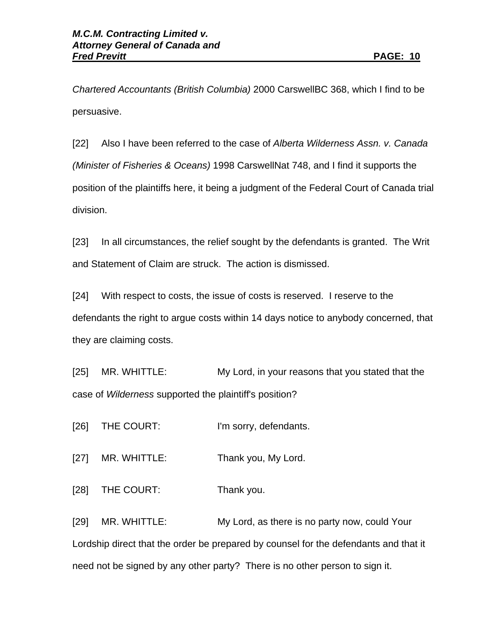*Chartered Accountants (British Columbia)* 2000 CarswellBC 368, which I find to be persuasive.

[22] Also I have been referred to the case of *Alberta Wilderness Assn. v. Canada (Minister of Fisheries & Oceans)* 1998 CarswellNat 748, and I find it supports the position of the plaintiffs here, it being a judgment of the Federal Court of Canada trial division.

[23] In all circumstances, the relief sought by the defendants is granted. The Writ and Statement of Claim are struck. The action is dismissed.

[24] With respect to costs, the issue of costs is reserved. I reserve to the defendants the right to argue costs within 14 days notice to anybody concerned, that they are claiming costs.

[25] MR. WHITTLE: My Lord, in your reasons that you stated that the case of *Wilderness* supported the plaintiff's position?

[26] THE COURT: I'm sorry, defendants.

[27] MR. WHITTLE: Thank you, My Lord.

[28] THE COURT: Thank you.

[29] MR. WHITTLE: My Lord, as there is no party now, could Your Lordship direct that the order be prepared by counsel for the defendants and that it need not be signed by any other party? There is no other person to sign it.